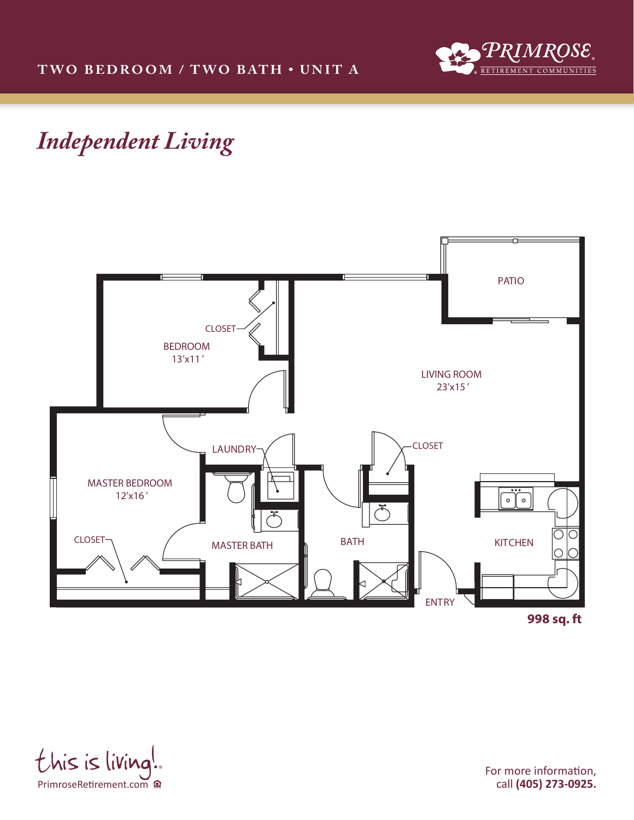



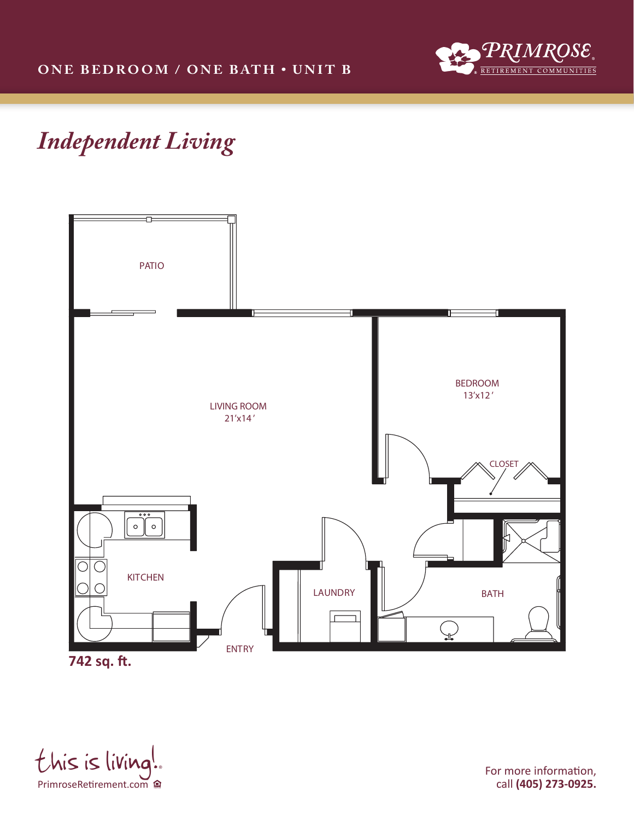



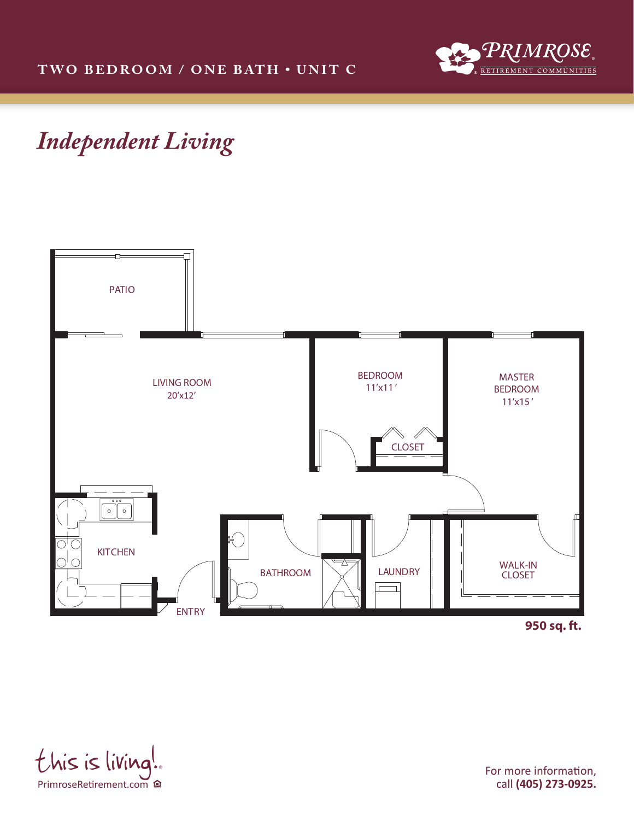



PrimroseRetirement.com  $this$  is living!